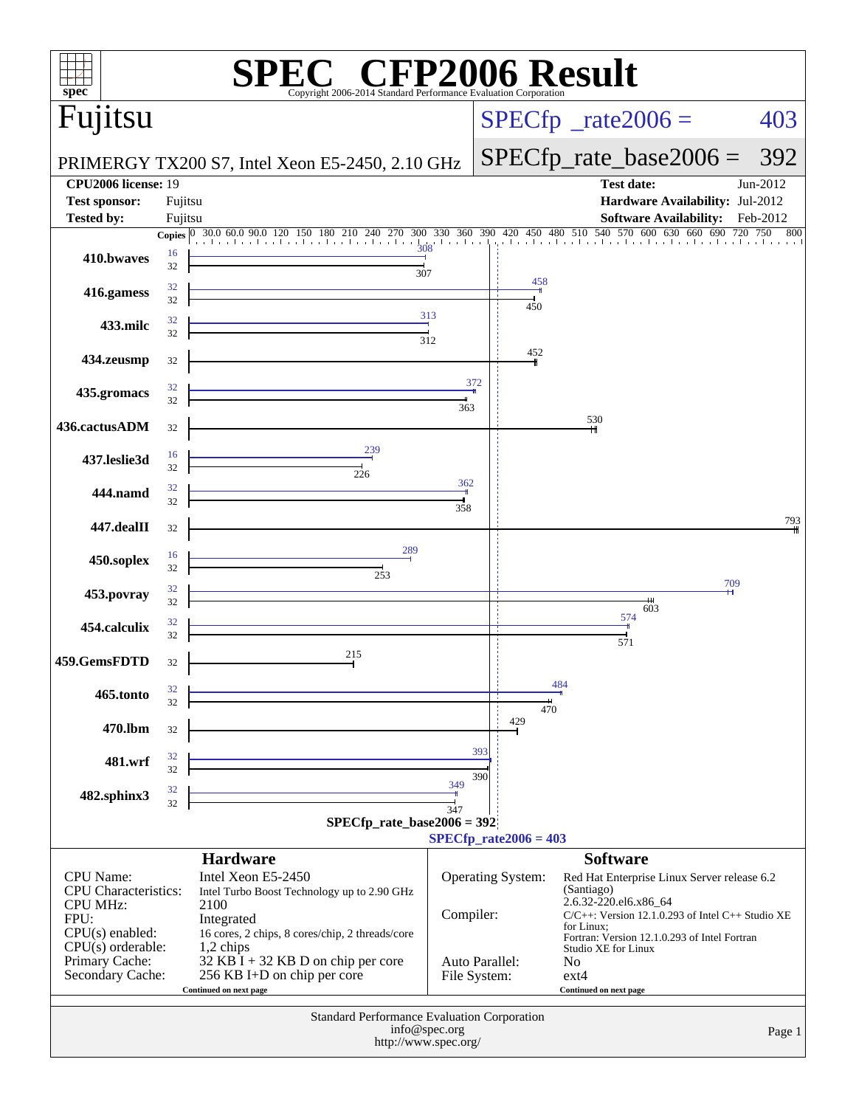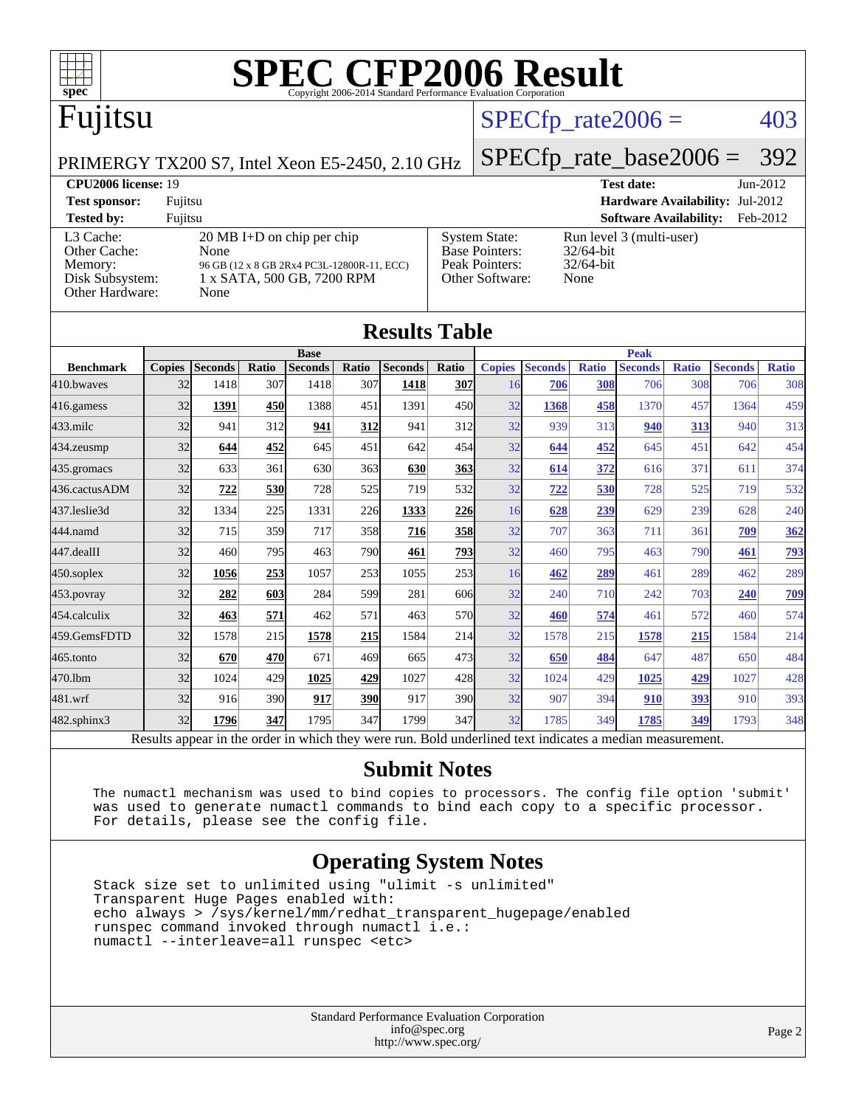

# Fujitsu

### $SPECTp_rate2006 = 403$

#### PRIMERGY TX200 S7, Intel Xeon E5-2450, 2.10 GHz

[SPECfp\\_rate\\_base2006 =](http://www.spec.org/auto/cpu2006/Docs/result-fields.html#SPECfpratebase2006) 392

| <b>CPU2006 license: 19</b>                                                 |                                                                                                                                  | <b>Test date:</b><br>$Jun-2012$                                                    |                                                                  |
|----------------------------------------------------------------------------|----------------------------------------------------------------------------------------------------------------------------------|------------------------------------------------------------------------------------|------------------------------------------------------------------|
| <b>Test sponsor:</b>                                                       | Fujitsu                                                                                                                          |                                                                                    | <b>Hardware Availability: Jul-2012</b>                           |
| <b>Tested by:</b>                                                          | Fuiitsu                                                                                                                          |                                                                                    | <b>Software Availability:</b><br>Feb-2012                        |
| L3 Cache:<br>Other Cache:<br>Memory:<br>Disk Subsystem:<br>Other Hardware: | $20 \text{ MB I+D}$ on chip per chip<br>None<br>96 GB (12 x 8 GB 2Rx4 PC3L-12800R-11, ECC)<br>1 x SATA, 500 GB, 7200 RPM<br>None | <b>System State:</b><br><b>Base Pointers:</b><br>Peak Pointers:<br>Other Software: | Run level 3 (multi-user)<br>$32/64$ -bit<br>$32/64$ -bit<br>None |

**[Results Table](http://www.spec.org/auto/cpu2006/Docs/result-fields.html#ResultsTable)**

| Results Table                                                                                            |               |                |       |                |            |                |              |               |                |              |                |              |                |              |
|----------------------------------------------------------------------------------------------------------|---------------|----------------|-------|----------------|------------|----------------|--------------|---------------|----------------|--------------|----------------|--------------|----------------|--------------|
|                                                                                                          |               | <b>Base</b>    |       |                |            |                | <b>Peak</b>  |               |                |              |                |              |                |              |
| <b>Benchmark</b>                                                                                         | <b>Copies</b> | <b>Seconds</b> | Ratio | <b>Seconds</b> | Ratio      | <b>Seconds</b> | Ratio        | <b>Copies</b> | <b>Seconds</b> | <b>Ratio</b> | <b>Seconds</b> | <b>Ratio</b> | <b>Seconds</b> | <b>Ratio</b> |
| 410.bwayes                                                                                               | 32            | 1418           | 307   | 1418           | 307        | 1418           | <b>307</b>   | 16            | 706            | 308          | 706            | 308          | 706            | 308          |
| 416.gamess                                                                                               | 32            | 1391           | 450   | 1388           | 451        | 1391           | 450l         | 32            | 1368           | 458          | 1370           | 457          | 1364           | 459          |
| 433.milc                                                                                                 | 32            | 941            | 312   | 941            | 312        | 941            | 312          | 32            | 939            | 313          | 940            | 313          | 940            | 313          |
| 434.zeusmp                                                                                               | 32            | 644            | 452   | 645            | 451        | 642            | 454          | 32            | 644            | 452          | 645            | 451          | 642            | 454          |
| 435.gromacs                                                                                              | 32            | 633            | 361   | 630            | 363        | 630            | <u>363</u>   | 32            | 614            | 372          | 616            | 371          | 611            | 374          |
| 436.cactusADM                                                                                            | 32            | 722            | 530   | 728            | 525        | 719            | 532l         | 32            | 722            | 530          | 728            | 525          | 719            | 532          |
| 437.leslie3d                                                                                             | 32            | 1334           | 225   | 1331           | 226        | 1333           | 226          | 16            | 628            | 239          | 629            | 239          | 628            | 240          |
| 444.namd                                                                                                 | 32            | 715            | 359   | 717            | 358l       | 716            | <b>358</b>   | 32            | 707            | 363          | 711            | 361          | 709            | <u>362</u>   |
| 447.dealII                                                                                               | 32            | 460            | 795   | 463            | 790        | 461            | <u>793  </u> | 32            | 460            | 795          | 463            | 790          | 461            | <u>793</u>   |
| $450$ .soplex                                                                                            | 32            | 1056           | 253   | 1057           | 253        | 1055           | 253          | 16            | 462            | 289          | 461            | 289          | 462            | 289          |
| 453.povray                                                                                               | 32            | 282            | 603   | 284            | 599l       | 281            | 606          | 32            | 240            | 710          | 242            | 703          | 240            | 709          |
| 454.calculix                                                                                             | 32            | 463            | 571   | 462            | 571        | 463            | 570l         | 32            | 460            | 574          | 461            | 572          | 460            | 574          |
| 459.GemsFDTD                                                                                             | 32            | 1578           | 215   | 1578           | <u>215</u> | 1584           | 214          | 32            | 1578           | 215          | 1578           | 215          | 1584           | 214          |
| 465.tonto                                                                                                | 32            | 670            | 470   | 671            | 469        | 665            | 473          | 32            | 650            | 484          | 647            | 487          | 650            | 484          |
| 470.1bm                                                                                                  | 32            | 1024           | 429   | 1025           | 429        | 1027           | 428          | 32            | 1024           | 429          | 1025           | 429          | 1027           | 428          |
| 481.wrf                                                                                                  | 32            | 916            | 390   | 917            | <b>390</b> | 917            | 390l         | 32            | 907            | 394          | 910            | 393          | 910            | 393          |
| $482$ .sphinx $3$                                                                                        | 32            | 1796           | 347   | 1795           | 347        | 1799           | 347          | 32            | 1785           | 349          | 1785           | 349          | 1793           | 348          |
| Results appear in the order in which they were run. Bold underlined text indicates a median measurement. |               |                |       |                |            |                |              |               |                |              |                |              |                |              |

**[Submit Notes](http://www.spec.org/auto/cpu2006/Docs/result-fields.html#SubmitNotes)**

 The numactl mechanism was used to bind copies to processors. The config file option 'submit' was used to generate numactl commands to bind each copy to a specific processor. For details, please see the config file.

### **[Operating System Notes](http://www.spec.org/auto/cpu2006/Docs/result-fields.html#OperatingSystemNotes)**

 Stack size set to unlimited using "ulimit -s unlimited" Transparent Huge Pages enabled with: echo always > /sys/kernel/mm/redhat\_transparent\_hugepage/enabled runspec command invoked through numactl i.e.: numactl --interleave=all runspec <etc>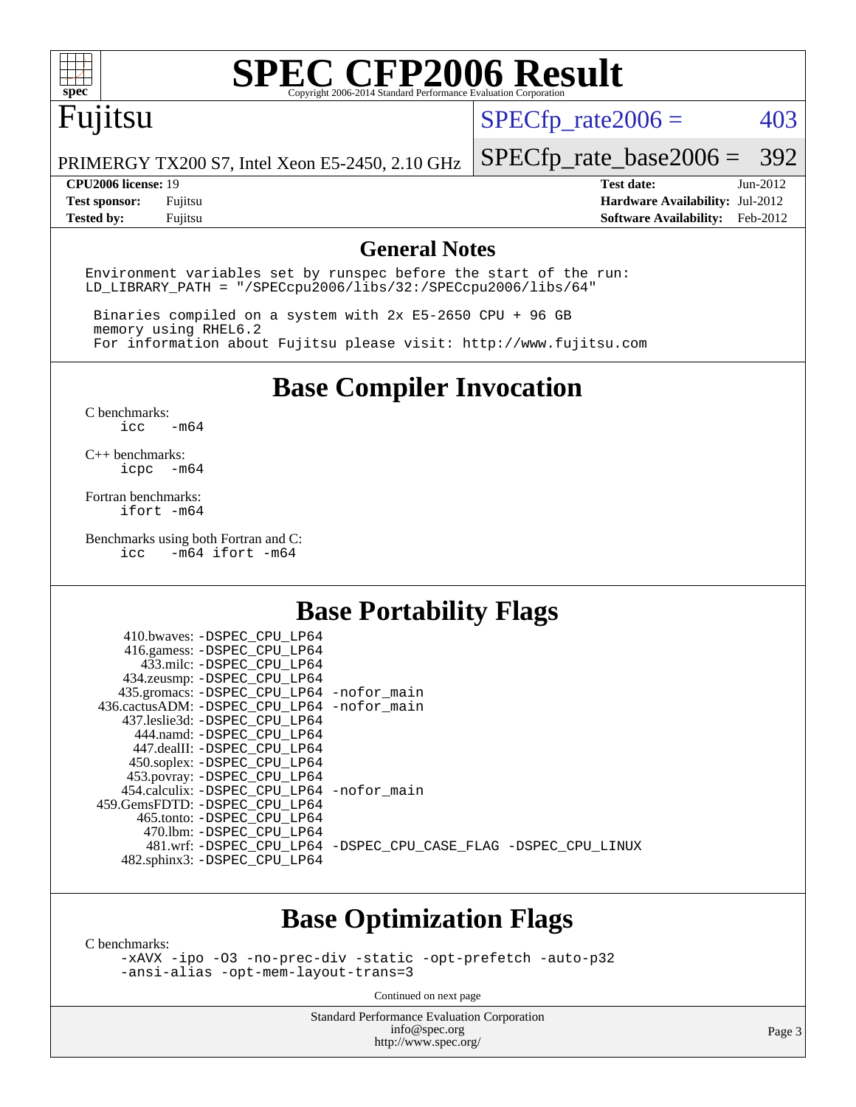

## Fujitsu

 $SPECTp_rate2006 = 403$ 

PRIMERGY TX200 S7, Intel Xeon E5-2450, 2.10 GHz

[SPECfp\\_rate\\_base2006 =](http://www.spec.org/auto/cpu2006/Docs/result-fields.html#SPECfpratebase2006) 392

**[CPU2006 license:](http://www.spec.org/auto/cpu2006/Docs/result-fields.html#CPU2006license)** 19 **[Test date:](http://www.spec.org/auto/cpu2006/Docs/result-fields.html#Testdate)** Jun-2012 **[Test sponsor:](http://www.spec.org/auto/cpu2006/Docs/result-fields.html#Testsponsor)** Fujitsu **[Hardware Availability:](http://www.spec.org/auto/cpu2006/Docs/result-fields.html#HardwareAvailability)** Jul-2012 **[Tested by:](http://www.spec.org/auto/cpu2006/Docs/result-fields.html#Testedby)** Fujitsu **[Software Availability:](http://www.spec.org/auto/cpu2006/Docs/result-fields.html#SoftwareAvailability)** Feb-2012

#### **[General Notes](http://www.spec.org/auto/cpu2006/Docs/result-fields.html#GeneralNotes)**

Environment variables set by runspec before the start of the run: LD\_LIBRARY\_PATH = "/SPECcpu2006/libs/32:/SPECcpu2006/libs/64"

 Binaries compiled on a system with 2x E5-2650 CPU + 96 GB memory using RHEL6.2 For information about Fujitsu please visit: <http://www.fujitsu.com>

**[Base Compiler Invocation](http://www.spec.org/auto/cpu2006/Docs/result-fields.html#BaseCompilerInvocation)**

[C benchmarks](http://www.spec.org/auto/cpu2006/Docs/result-fields.html#Cbenchmarks):  $\text{icc}$   $-\text{m64}$ 

[C++ benchmarks:](http://www.spec.org/auto/cpu2006/Docs/result-fields.html#CXXbenchmarks) [icpc -m64](http://www.spec.org/cpu2006/results/res2012q3/cpu2006-20120810-24123.flags.html#user_CXXbase_intel_icpc_64bit_bedb90c1146cab66620883ef4f41a67e)

[Fortran benchmarks](http://www.spec.org/auto/cpu2006/Docs/result-fields.html#Fortranbenchmarks): [ifort -m64](http://www.spec.org/cpu2006/results/res2012q3/cpu2006-20120810-24123.flags.html#user_FCbase_intel_ifort_64bit_ee9d0fb25645d0210d97eb0527dcc06e)

[Benchmarks using both Fortran and C](http://www.spec.org/auto/cpu2006/Docs/result-fields.html#BenchmarksusingbothFortranandC):<br>icc -m64 ifort -m64  $-m64$  ifort  $-m64$ 

### **[Base Portability Flags](http://www.spec.org/auto/cpu2006/Docs/result-fields.html#BasePortabilityFlags)**

| 410.bwaves: -DSPEC CPU LP64                  |                                                                |
|----------------------------------------------|----------------------------------------------------------------|
| 416.gamess: -DSPEC_CPU_LP64                  |                                                                |
| 433.milc: -DSPEC CPU LP64                    |                                                                |
| 434.zeusmp: - DSPEC CPU LP64                 |                                                                |
| 435.gromacs: -DSPEC_CPU_LP64 -nofor_main     |                                                                |
| 436.cactusADM: - DSPEC CPU LP64 - nofor main |                                                                |
| 437.leslie3d: -DSPEC CPU LP64                |                                                                |
| 444.namd: -DSPEC CPU LP64                    |                                                                |
| 447.dealII: -DSPEC CPU LP64                  |                                                                |
| 450.soplex: -DSPEC_CPU_LP64                  |                                                                |
| 453.povray: -DSPEC_CPU_LP64                  |                                                                |
| 454.calculix: - DSPEC CPU LP64 - nofor main  |                                                                |
| 459.GemsFDTD: - DSPEC_CPU LP64               |                                                                |
| 465.tonto: - DSPEC CPU LP64                  |                                                                |
| 470.1bm: - DSPEC CPU LP64                    |                                                                |
|                                              | 481.wrf: -DSPEC_CPU_LP64 -DSPEC_CPU_CASE_FLAG -DSPEC_CPU_LINUX |
| 482.sphinx3: -DSPEC_CPU_LP64                 |                                                                |
|                                              |                                                                |

### **[Base Optimization Flags](http://www.spec.org/auto/cpu2006/Docs/result-fields.html#BaseOptimizationFlags)**

[C benchmarks](http://www.spec.org/auto/cpu2006/Docs/result-fields.html#Cbenchmarks):

[-xAVX](http://www.spec.org/cpu2006/results/res2012q3/cpu2006-20120810-24123.flags.html#user_CCbase_f-xAVX) [-ipo](http://www.spec.org/cpu2006/results/res2012q3/cpu2006-20120810-24123.flags.html#user_CCbase_f-ipo) [-O3](http://www.spec.org/cpu2006/results/res2012q3/cpu2006-20120810-24123.flags.html#user_CCbase_f-O3) [-no-prec-div](http://www.spec.org/cpu2006/results/res2012q3/cpu2006-20120810-24123.flags.html#user_CCbase_f-no-prec-div) [-static](http://www.spec.org/cpu2006/results/res2012q3/cpu2006-20120810-24123.flags.html#user_CCbase_f-static) [-opt-prefetch](http://www.spec.org/cpu2006/results/res2012q3/cpu2006-20120810-24123.flags.html#user_CCbase_f-opt-prefetch) [-auto-p32](http://www.spec.org/cpu2006/results/res2012q3/cpu2006-20120810-24123.flags.html#user_CCbase_f-auto-p32) [-ansi-alias](http://www.spec.org/cpu2006/results/res2012q3/cpu2006-20120810-24123.flags.html#user_CCbase_f-ansi-alias) [-opt-mem-layout-trans=3](http://www.spec.org/cpu2006/results/res2012q3/cpu2006-20120810-24123.flags.html#user_CCbase_f-opt-mem-layout-trans_a7b82ad4bd7abf52556d4961a2ae94d5)

Continued on next page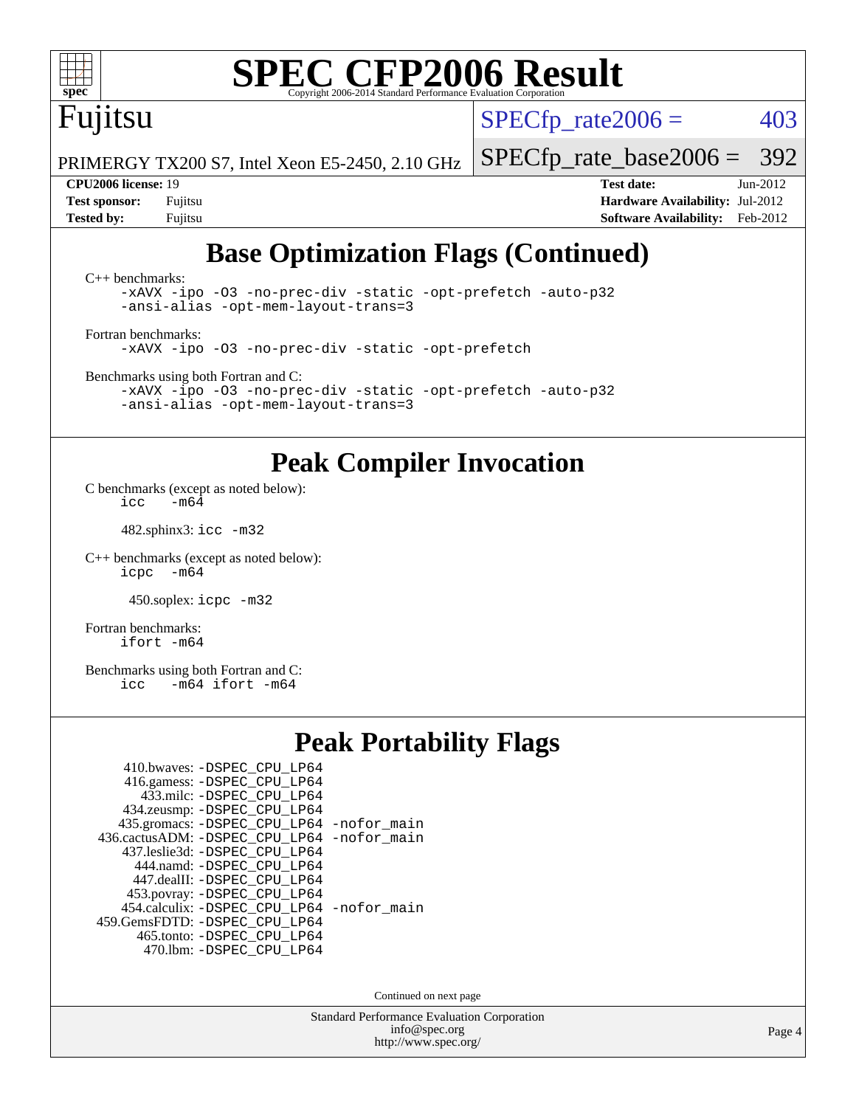# Fujitsu

 $SPECTp\_rate2006 = 403$ 

PRIMERGY TX200 S7, Intel Xeon E5-2450, 2.10 GHz

**[Test sponsor:](http://www.spec.org/auto/cpu2006/Docs/result-fields.html#Testsponsor)** Fujitsu **[Hardware Availability:](http://www.spec.org/auto/cpu2006/Docs/result-fields.html#HardwareAvailability)** Jul-2012 **[Tested by:](http://www.spec.org/auto/cpu2006/Docs/result-fields.html#Testedby)** Fujitsu **[Software Availability:](http://www.spec.org/auto/cpu2006/Docs/result-fields.html#SoftwareAvailability)** Feb-2012

[SPECfp\\_rate\\_base2006 =](http://www.spec.org/auto/cpu2006/Docs/result-fields.html#SPECfpratebase2006) 392 **[CPU2006 license:](http://www.spec.org/auto/cpu2006/Docs/result-fields.html#CPU2006license)** 19 **[Test date:](http://www.spec.org/auto/cpu2006/Docs/result-fields.html#Testdate)** Jun-2012

### **[Base Optimization Flags \(Continued\)](http://www.spec.org/auto/cpu2006/Docs/result-fields.html#BaseOptimizationFlags)**

[C++ benchmarks:](http://www.spec.org/auto/cpu2006/Docs/result-fields.html#CXXbenchmarks) [-xAVX](http://www.spec.org/cpu2006/results/res2012q3/cpu2006-20120810-24123.flags.html#user_CXXbase_f-xAVX) [-ipo](http://www.spec.org/cpu2006/results/res2012q3/cpu2006-20120810-24123.flags.html#user_CXXbase_f-ipo) [-O3](http://www.spec.org/cpu2006/results/res2012q3/cpu2006-20120810-24123.flags.html#user_CXXbase_f-O3) [-no-prec-div](http://www.spec.org/cpu2006/results/res2012q3/cpu2006-20120810-24123.flags.html#user_CXXbase_f-no-prec-div) [-static](http://www.spec.org/cpu2006/results/res2012q3/cpu2006-20120810-24123.flags.html#user_CXXbase_f-static) [-opt-prefetch](http://www.spec.org/cpu2006/results/res2012q3/cpu2006-20120810-24123.flags.html#user_CXXbase_f-opt-prefetch) [-auto-p32](http://www.spec.org/cpu2006/results/res2012q3/cpu2006-20120810-24123.flags.html#user_CXXbase_f-auto-p32) [-ansi-alias](http://www.spec.org/cpu2006/results/res2012q3/cpu2006-20120810-24123.flags.html#user_CXXbase_f-ansi-alias) [-opt-mem-layout-trans=3](http://www.spec.org/cpu2006/results/res2012q3/cpu2006-20120810-24123.flags.html#user_CXXbase_f-opt-mem-layout-trans_a7b82ad4bd7abf52556d4961a2ae94d5)

[Fortran benchmarks](http://www.spec.org/auto/cpu2006/Docs/result-fields.html#Fortranbenchmarks): [-xAVX](http://www.spec.org/cpu2006/results/res2012q3/cpu2006-20120810-24123.flags.html#user_FCbase_f-xAVX) [-ipo](http://www.spec.org/cpu2006/results/res2012q3/cpu2006-20120810-24123.flags.html#user_FCbase_f-ipo) [-O3](http://www.spec.org/cpu2006/results/res2012q3/cpu2006-20120810-24123.flags.html#user_FCbase_f-O3) [-no-prec-div](http://www.spec.org/cpu2006/results/res2012q3/cpu2006-20120810-24123.flags.html#user_FCbase_f-no-prec-div) [-static](http://www.spec.org/cpu2006/results/res2012q3/cpu2006-20120810-24123.flags.html#user_FCbase_f-static) [-opt-prefetch](http://www.spec.org/cpu2006/results/res2012q3/cpu2006-20120810-24123.flags.html#user_FCbase_f-opt-prefetch)

[Benchmarks using both Fortran and C](http://www.spec.org/auto/cpu2006/Docs/result-fields.html#BenchmarksusingbothFortranandC):

[-xAVX](http://www.spec.org/cpu2006/results/res2012q3/cpu2006-20120810-24123.flags.html#user_CC_FCbase_f-xAVX) [-ipo](http://www.spec.org/cpu2006/results/res2012q3/cpu2006-20120810-24123.flags.html#user_CC_FCbase_f-ipo) [-O3](http://www.spec.org/cpu2006/results/res2012q3/cpu2006-20120810-24123.flags.html#user_CC_FCbase_f-O3) [-no-prec-div](http://www.spec.org/cpu2006/results/res2012q3/cpu2006-20120810-24123.flags.html#user_CC_FCbase_f-no-prec-div) [-static](http://www.spec.org/cpu2006/results/res2012q3/cpu2006-20120810-24123.flags.html#user_CC_FCbase_f-static) [-opt-prefetch](http://www.spec.org/cpu2006/results/res2012q3/cpu2006-20120810-24123.flags.html#user_CC_FCbase_f-opt-prefetch) [-auto-p32](http://www.spec.org/cpu2006/results/res2012q3/cpu2006-20120810-24123.flags.html#user_CC_FCbase_f-auto-p32) [-ansi-alias](http://www.spec.org/cpu2006/results/res2012q3/cpu2006-20120810-24123.flags.html#user_CC_FCbase_f-ansi-alias) [-opt-mem-layout-trans=3](http://www.spec.org/cpu2006/results/res2012q3/cpu2006-20120810-24123.flags.html#user_CC_FCbase_f-opt-mem-layout-trans_a7b82ad4bd7abf52556d4961a2ae94d5)

### **[Peak Compiler Invocation](http://www.spec.org/auto/cpu2006/Docs/result-fields.html#PeakCompilerInvocation)**

[C benchmarks \(except as noted below\)](http://www.spec.org/auto/cpu2006/Docs/result-fields.html#Cbenchmarksexceptasnotedbelow): icc  $-m6\overline{4}$ 

482.sphinx3: [icc -m32](http://www.spec.org/cpu2006/results/res2012q3/cpu2006-20120810-24123.flags.html#user_peakCCLD482_sphinx3_intel_icc_a6a621f8d50482236b970c6ac5f55f93)

[C++ benchmarks \(except as noted below\):](http://www.spec.org/auto/cpu2006/Docs/result-fields.html#CXXbenchmarksexceptasnotedbelow) [icpc -m64](http://www.spec.org/cpu2006/results/res2012q3/cpu2006-20120810-24123.flags.html#user_CXXpeak_intel_icpc_64bit_bedb90c1146cab66620883ef4f41a67e)

450.soplex: [icpc -m32](http://www.spec.org/cpu2006/results/res2012q3/cpu2006-20120810-24123.flags.html#user_peakCXXLD450_soplex_intel_icpc_4e5a5ef1a53fd332b3c49e69c3330699)

[Fortran benchmarks](http://www.spec.org/auto/cpu2006/Docs/result-fields.html#Fortranbenchmarks): [ifort -m64](http://www.spec.org/cpu2006/results/res2012q3/cpu2006-20120810-24123.flags.html#user_FCpeak_intel_ifort_64bit_ee9d0fb25645d0210d97eb0527dcc06e)

[Benchmarks using both Fortran and C](http://www.spec.org/auto/cpu2006/Docs/result-fields.html#BenchmarksusingbothFortranandC): [icc -m64](http://www.spec.org/cpu2006/results/res2012q3/cpu2006-20120810-24123.flags.html#user_CC_FCpeak_intel_icc_64bit_0b7121f5ab7cfabee23d88897260401c) [ifort -m64](http://www.spec.org/cpu2006/results/res2012q3/cpu2006-20120810-24123.flags.html#user_CC_FCpeak_intel_ifort_64bit_ee9d0fb25645d0210d97eb0527dcc06e)

### **[Peak Portability Flags](http://www.spec.org/auto/cpu2006/Docs/result-fields.html#PeakPortabilityFlags)**

| 410.bwaves: -DSPEC CPU LP64<br>416.gamess: -DSPEC_CPU_LP64<br>433.milc: -DSPEC_CPU_LP64 |  |
|-----------------------------------------------------------------------------------------|--|
| 434.zeusmp: -DSPEC_CPU_LP64                                                             |  |
| 435.gromacs: -DSPEC_CPU_LP64 -nofor_main                                                |  |
| 436.cactusADM: -DSPEC CPU LP64 -nofor main                                              |  |
| 437.leslie3d: -DSPEC CPU LP64                                                           |  |
| 444.namd: -DSPEC CPU LP64                                                               |  |
| 447.dealII: -DSPEC CPU LP64                                                             |  |
| 453.povray: -DSPEC_CPU_LP64                                                             |  |
| 454.calculix: - DSPEC CPU LP64 - nofor main                                             |  |
| 459. GemsFDTD: - DSPEC CPU LP64                                                         |  |
| 465.tonto: - DSPEC_CPU LP64                                                             |  |
| 470.1bm: - DSPEC CPU LP64                                                               |  |

Continued on next page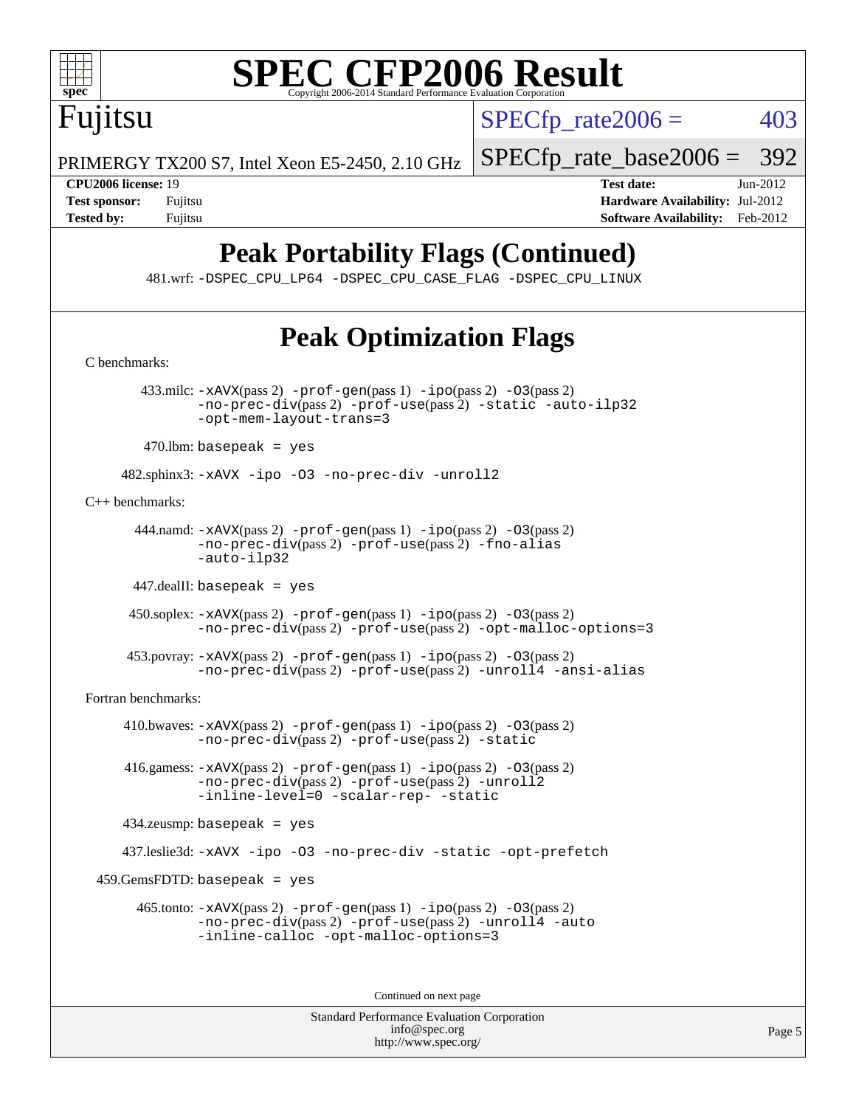

 $SPECTp\_rate2006 = 403$ 

PRIMERGY TX200 S7, Intel Xeon E5-2450, 2.10 GHz

Fujitsu

**[CPU2006 license:](http://www.spec.org/auto/cpu2006/Docs/result-fields.html#CPU2006license)** 19 **[Test date:](http://www.spec.org/auto/cpu2006/Docs/result-fields.html#Testdate)** Jun-2012 **[Test sponsor:](http://www.spec.org/auto/cpu2006/Docs/result-fields.html#Testsponsor)** Fujitsu **[Hardware Availability:](http://www.spec.org/auto/cpu2006/Docs/result-fields.html#HardwareAvailability)** Jul-2012 **[Tested by:](http://www.spec.org/auto/cpu2006/Docs/result-fields.html#Testedby)** Fujitsu **Fugital Example 2012 [Software Availability:](http://www.spec.org/auto/cpu2006/Docs/result-fields.html#SoftwareAvailability)** Feb-2012

[SPECfp\\_rate\\_base2006 =](http://www.spec.org/auto/cpu2006/Docs/result-fields.html#SPECfpratebase2006) 392

## **[Peak Portability Flags \(Continued\)](http://www.spec.org/auto/cpu2006/Docs/result-fields.html#PeakPortabilityFlags)**

481.wrf: [-DSPEC\\_CPU\\_LP64](http://www.spec.org/cpu2006/results/res2012q3/cpu2006-20120810-24123.flags.html#suite_peakPORTABILITY481_wrf_DSPEC_CPU_LP64) [-DSPEC\\_CPU\\_CASE\\_FLAG](http://www.spec.org/cpu2006/results/res2012q3/cpu2006-20120810-24123.flags.html#b481.wrf_peakCPORTABILITY_DSPEC_CPU_CASE_FLAG) [-DSPEC\\_CPU\\_LINUX](http://www.spec.org/cpu2006/results/res2012q3/cpu2006-20120810-24123.flags.html#b481.wrf_peakCPORTABILITY_DSPEC_CPU_LINUX)

## **[Peak Optimization Flags](http://www.spec.org/auto/cpu2006/Docs/result-fields.html#PeakOptimizationFlags)**

[C benchmarks](http://www.spec.org/auto/cpu2006/Docs/result-fields.html#Cbenchmarks):

 433.milc: [-xAVX](http://www.spec.org/cpu2006/results/res2012q3/cpu2006-20120810-24123.flags.html#user_peakPASS2_CFLAGSPASS2_LDFLAGS433_milc_f-xAVX)(pass 2) [-prof-gen](http://www.spec.org/cpu2006/results/res2012q3/cpu2006-20120810-24123.flags.html#user_peakPASS1_CFLAGSPASS1_LDFLAGS433_milc_prof_gen_e43856698f6ca7b7e442dfd80e94a8fc)(pass 1) [-ipo](http://www.spec.org/cpu2006/results/res2012q3/cpu2006-20120810-24123.flags.html#user_peakPASS2_CFLAGSPASS2_LDFLAGS433_milc_f-ipo)(pass 2) [-O3](http://www.spec.org/cpu2006/results/res2012q3/cpu2006-20120810-24123.flags.html#user_peakPASS2_CFLAGSPASS2_LDFLAGS433_milc_f-O3)(pass 2) [-no-prec-div](http://www.spec.org/cpu2006/results/res2012q3/cpu2006-20120810-24123.flags.html#user_peakPASS2_CFLAGSPASS2_LDFLAGS433_milc_f-no-prec-div)(pass 2) [-prof-use](http://www.spec.org/cpu2006/results/res2012q3/cpu2006-20120810-24123.flags.html#user_peakPASS2_CFLAGSPASS2_LDFLAGS433_milc_prof_use_bccf7792157ff70d64e32fe3e1250b55)(pass 2) [-static](http://www.spec.org/cpu2006/results/res2012q3/cpu2006-20120810-24123.flags.html#user_peakOPTIMIZE433_milc_f-static) [-auto-ilp32](http://www.spec.org/cpu2006/results/res2012q3/cpu2006-20120810-24123.flags.html#user_peakCOPTIMIZE433_milc_f-auto-ilp32) [-opt-mem-layout-trans=3](http://www.spec.org/cpu2006/results/res2012q3/cpu2006-20120810-24123.flags.html#user_peakCOPTIMIZE433_milc_f-opt-mem-layout-trans_a7b82ad4bd7abf52556d4961a2ae94d5)

 $470$ .lbm: basepeak = yes

482.sphinx3: [-xAVX](http://www.spec.org/cpu2006/results/res2012q3/cpu2006-20120810-24123.flags.html#user_peakOPTIMIZE482_sphinx3_f-xAVX) [-ipo](http://www.spec.org/cpu2006/results/res2012q3/cpu2006-20120810-24123.flags.html#user_peakOPTIMIZE482_sphinx3_f-ipo) [-O3](http://www.spec.org/cpu2006/results/res2012q3/cpu2006-20120810-24123.flags.html#user_peakOPTIMIZE482_sphinx3_f-O3) [-no-prec-div](http://www.spec.org/cpu2006/results/res2012q3/cpu2006-20120810-24123.flags.html#user_peakOPTIMIZE482_sphinx3_f-no-prec-div) [-unroll2](http://www.spec.org/cpu2006/results/res2012q3/cpu2006-20120810-24123.flags.html#user_peakCOPTIMIZE482_sphinx3_f-unroll_784dae83bebfb236979b41d2422d7ec2)

[C++ benchmarks:](http://www.spec.org/auto/cpu2006/Docs/result-fields.html#CXXbenchmarks)

444.namd:  $-x$ AVX(pass 2)  $-p$ rof-gen(pass 1)  $-p$ po(pass 2)  $-03$ (pass 2) [-no-prec-div](http://www.spec.org/cpu2006/results/res2012q3/cpu2006-20120810-24123.flags.html#user_peakPASS2_CXXFLAGSPASS2_LDFLAGS444_namd_f-no-prec-div)(pass 2) [-prof-use](http://www.spec.org/cpu2006/results/res2012q3/cpu2006-20120810-24123.flags.html#user_peakPASS2_CXXFLAGSPASS2_LDFLAGS444_namd_prof_use_bccf7792157ff70d64e32fe3e1250b55)(pass 2) [-fno-alias](http://www.spec.org/cpu2006/results/res2012q3/cpu2006-20120810-24123.flags.html#user_peakCXXOPTIMIZE444_namd_f-no-alias_694e77f6c5a51e658e82ccff53a9e63a) [-auto-ilp32](http://www.spec.org/cpu2006/results/res2012q3/cpu2006-20120810-24123.flags.html#user_peakCXXOPTIMIZE444_namd_f-auto-ilp32)

447.dealII: basepeak = yes

 450.soplex: [-xAVX](http://www.spec.org/cpu2006/results/res2012q3/cpu2006-20120810-24123.flags.html#user_peakPASS2_CXXFLAGSPASS2_LDFLAGS450_soplex_f-xAVX)(pass 2) [-prof-gen](http://www.spec.org/cpu2006/results/res2012q3/cpu2006-20120810-24123.flags.html#user_peakPASS1_CXXFLAGSPASS1_LDFLAGS450_soplex_prof_gen_e43856698f6ca7b7e442dfd80e94a8fc)(pass 1) [-ipo](http://www.spec.org/cpu2006/results/res2012q3/cpu2006-20120810-24123.flags.html#user_peakPASS2_CXXFLAGSPASS2_LDFLAGS450_soplex_f-ipo)(pass 2) [-O3](http://www.spec.org/cpu2006/results/res2012q3/cpu2006-20120810-24123.flags.html#user_peakPASS2_CXXFLAGSPASS2_LDFLAGS450_soplex_f-O3)(pass 2) [-no-prec-div](http://www.spec.org/cpu2006/results/res2012q3/cpu2006-20120810-24123.flags.html#user_peakPASS2_CXXFLAGSPASS2_LDFLAGS450_soplex_f-no-prec-div)(pass 2) [-prof-use](http://www.spec.org/cpu2006/results/res2012q3/cpu2006-20120810-24123.flags.html#user_peakPASS2_CXXFLAGSPASS2_LDFLAGS450_soplex_prof_use_bccf7792157ff70d64e32fe3e1250b55)(pass 2) [-opt-malloc-options=3](http://www.spec.org/cpu2006/results/res2012q3/cpu2006-20120810-24123.flags.html#user_peakOPTIMIZE450_soplex_f-opt-malloc-options_13ab9b803cf986b4ee62f0a5998c2238)

 453.povray: [-xAVX](http://www.spec.org/cpu2006/results/res2012q3/cpu2006-20120810-24123.flags.html#user_peakPASS2_CXXFLAGSPASS2_LDFLAGS453_povray_f-xAVX)(pass 2) [-prof-gen](http://www.spec.org/cpu2006/results/res2012q3/cpu2006-20120810-24123.flags.html#user_peakPASS1_CXXFLAGSPASS1_LDFLAGS453_povray_prof_gen_e43856698f6ca7b7e442dfd80e94a8fc)(pass 1) [-ipo](http://www.spec.org/cpu2006/results/res2012q3/cpu2006-20120810-24123.flags.html#user_peakPASS2_CXXFLAGSPASS2_LDFLAGS453_povray_f-ipo)(pass 2) [-O3](http://www.spec.org/cpu2006/results/res2012q3/cpu2006-20120810-24123.flags.html#user_peakPASS2_CXXFLAGSPASS2_LDFLAGS453_povray_f-O3)(pass 2) [-no-prec-div](http://www.spec.org/cpu2006/results/res2012q3/cpu2006-20120810-24123.flags.html#user_peakPASS2_CXXFLAGSPASS2_LDFLAGS453_povray_f-no-prec-div)(pass 2) [-prof-use](http://www.spec.org/cpu2006/results/res2012q3/cpu2006-20120810-24123.flags.html#user_peakPASS2_CXXFLAGSPASS2_LDFLAGS453_povray_prof_use_bccf7792157ff70d64e32fe3e1250b55)(pass 2) [-unroll4](http://www.spec.org/cpu2006/results/res2012q3/cpu2006-20120810-24123.flags.html#user_peakCXXOPTIMIZE453_povray_f-unroll_4e5e4ed65b7fd20bdcd365bec371b81f) [-ansi-alias](http://www.spec.org/cpu2006/results/res2012q3/cpu2006-20120810-24123.flags.html#user_peakCXXOPTIMIZE453_povray_f-ansi-alias)

[Fortran benchmarks](http://www.spec.org/auto/cpu2006/Docs/result-fields.html#Fortranbenchmarks):

410.bwaves:  $-xAUX(pass 2)$  -prof-qen(pass 1) [-ipo](http://www.spec.org/cpu2006/results/res2012q3/cpu2006-20120810-24123.flags.html#user_peakPASS2_FFLAGSPASS2_LDFLAGS410_bwaves_f-ipo)(pass 2) [-O3](http://www.spec.org/cpu2006/results/res2012q3/cpu2006-20120810-24123.flags.html#user_peakPASS2_FFLAGSPASS2_LDFLAGS410_bwaves_f-O3)(pass 2) [-no-prec-div](http://www.spec.org/cpu2006/results/res2012q3/cpu2006-20120810-24123.flags.html#user_peakPASS2_FFLAGSPASS2_LDFLAGS410_bwaves_f-no-prec-div)(pass 2) [-prof-use](http://www.spec.org/cpu2006/results/res2012q3/cpu2006-20120810-24123.flags.html#user_peakPASS2_FFLAGSPASS2_LDFLAGS410_bwaves_prof_use_bccf7792157ff70d64e32fe3e1250b55)(pass 2) [-static](http://www.spec.org/cpu2006/results/res2012q3/cpu2006-20120810-24123.flags.html#user_peakOPTIMIZE410_bwaves_f-static)

 416.gamess: [-xAVX](http://www.spec.org/cpu2006/results/res2012q3/cpu2006-20120810-24123.flags.html#user_peakPASS2_FFLAGSPASS2_LDFLAGS416_gamess_f-xAVX)(pass 2) [-prof-gen](http://www.spec.org/cpu2006/results/res2012q3/cpu2006-20120810-24123.flags.html#user_peakPASS1_FFLAGSPASS1_LDFLAGS416_gamess_prof_gen_e43856698f6ca7b7e442dfd80e94a8fc)(pass 1) [-ipo](http://www.spec.org/cpu2006/results/res2012q3/cpu2006-20120810-24123.flags.html#user_peakPASS2_FFLAGSPASS2_LDFLAGS416_gamess_f-ipo)(pass 2) [-O3](http://www.spec.org/cpu2006/results/res2012q3/cpu2006-20120810-24123.flags.html#user_peakPASS2_FFLAGSPASS2_LDFLAGS416_gamess_f-O3)(pass 2) [-no-prec-div](http://www.spec.org/cpu2006/results/res2012q3/cpu2006-20120810-24123.flags.html#user_peakPASS2_FFLAGSPASS2_LDFLAGS416_gamess_f-no-prec-div)(pass 2) [-prof-use](http://www.spec.org/cpu2006/results/res2012q3/cpu2006-20120810-24123.flags.html#user_peakPASS2_FFLAGSPASS2_LDFLAGS416_gamess_prof_use_bccf7792157ff70d64e32fe3e1250b55)(pass 2) [-unroll2](http://www.spec.org/cpu2006/results/res2012q3/cpu2006-20120810-24123.flags.html#user_peakOPTIMIZE416_gamess_f-unroll_784dae83bebfb236979b41d2422d7ec2) [-inline-level=0](http://www.spec.org/cpu2006/results/res2012q3/cpu2006-20120810-24123.flags.html#user_peakOPTIMIZE416_gamess_f-inline-level_318d07a09274ad25e8d15dbfaa68ba50) [-scalar-rep-](http://www.spec.org/cpu2006/results/res2012q3/cpu2006-20120810-24123.flags.html#user_peakOPTIMIZE416_gamess_f-disablescalarrep_abbcad04450fb118e4809c81d83c8a1d) [-static](http://www.spec.org/cpu2006/results/res2012q3/cpu2006-20120810-24123.flags.html#user_peakOPTIMIZE416_gamess_f-static)

434.zeusmp: basepeak = yes

437.leslie3d: [-xAVX](http://www.spec.org/cpu2006/results/res2012q3/cpu2006-20120810-24123.flags.html#user_peakOPTIMIZE437_leslie3d_f-xAVX) [-ipo](http://www.spec.org/cpu2006/results/res2012q3/cpu2006-20120810-24123.flags.html#user_peakOPTIMIZE437_leslie3d_f-ipo) [-O3](http://www.spec.org/cpu2006/results/res2012q3/cpu2006-20120810-24123.flags.html#user_peakOPTIMIZE437_leslie3d_f-O3) [-no-prec-div](http://www.spec.org/cpu2006/results/res2012q3/cpu2006-20120810-24123.flags.html#user_peakOPTIMIZE437_leslie3d_f-no-prec-div) [-static](http://www.spec.org/cpu2006/results/res2012q3/cpu2006-20120810-24123.flags.html#user_peakOPTIMIZE437_leslie3d_f-static) [-opt-prefetch](http://www.spec.org/cpu2006/results/res2012q3/cpu2006-20120810-24123.flags.html#user_peakOPTIMIZE437_leslie3d_f-opt-prefetch)

459.GemsFDTD: basepeak = yes

 465.tonto: [-xAVX](http://www.spec.org/cpu2006/results/res2012q3/cpu2006-20120810-24123.flags.html#user_peakPASS2_FFLAGSPASS2_LDFLAGS465_tonto_f-xAVX)(pass 2) [-prof-gen](http://www.spec.org/cpu2006/results/res2012q3/cpu2006-20120810-24123.flags.html#user_peakPASS1_FFLAGSPASS1_LDFLAGS465_tonto_prof_gen_e43856698f6ca7b7e442dfd80e94a8fc)(pass 1) [-ipo](http://www.spec.org/cpu2006/results/res2012q3/cpu2006-20120810-24123.flags.html#user_peakPASS2_FFLAGSPASS2_LDFLAGS465_tonto_f-ipo)(pass 2) [-O3](http://www.spec.org/cpu2006/results/res2012q3/cpu2006-20120810-24123.flags.html#user_peakPASS2_FFLAGSPASS2_LDFLAGS465_tonto_f-O3)(pass 2) [-no-prec-div](http://www.spec.org/cpu2006/results/res2012q3/cpu2006-20120810-24123.flags.html#user_peakPASS2_FFLAGSPASS2_LDFLAGS465_tonto_f-no-prec-div)(pass 2) [-prof-use](http://www.spec.org/cpu2006/results/res2012q3/cpu2006-20120810-24123.flags.html#user_peakPASS2_FFLAGSPASS2_LDFLAGS465_tonto_prof_use_bccf7792157ff70d64e32fe3e1250b55)(pass 2) [-unroll4](http://www.spec.org/cpu2006/results/res2012q3/cpu2006-20120810-24123.flags.html#user_peakOPTIMIZE465_tonto_f-unroll_4e5e4ed65b7fd20bdcd365bec371b81f) [-auto](http://www.spec.org/cpu2006/results/res2012q3/cpu2006-20120810-24123.flags.html#user_peakOPTIMIZE465_tonto_f-auto) [-inline-calloc](http://www.spec.org/cpu2006/results/res2012q3/cpu2006-20120810-24123.flags.html#user_peakOPTIMIZE465_tonto_f-inline-calloc) [-opt-malloc-options=3](http://www.spec.org/cpu2006/results/res2012q3/cpu2006-20120810-24123.flags.html#user_peakOPTIMIZE465_tonto_f-opt-malloc-options_13ab9b803cf986b4ee62f0a5998c2238)

Continued on next page